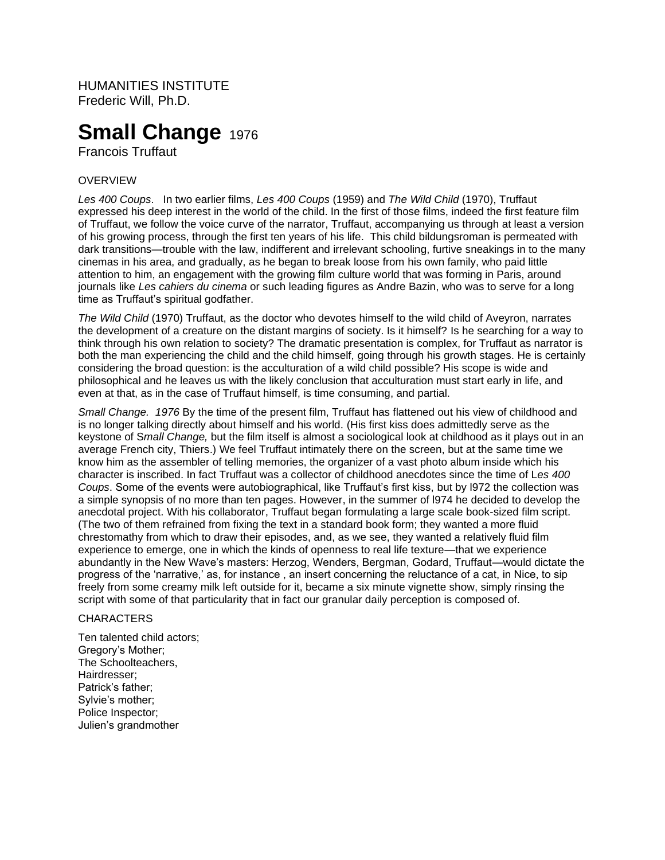HUMANITIES INSTITUTE Frederic Will, Ph.D.

# **Small Change 1976**

Francois Truffaut

# **OVERVIEW**

*Les 400 Coups*. In two earlier films, *Les 400 Coups* (1959) and *The Wild Child* (1970), Truffaut expressed his deep interest in the world of the child. In the first of those films, indeed the first feature film of Truffaut, we follow the voice curve of the narrator, Truffaut, accompanying us through at least a version of his growing process, through the first ten years of his life. This child bildungsroman is permeated with dark transitions—trouble with the law, indifferent and irrelevant schooling, furtive sneakings in to the many cinemas in his area, and gradually, as he began to break loose from his own family, who paid little attention to him, an engagement with the growing film culture world that was forming in Paris, around journals like *Les cahiers du cinema* or such leading figures as Andre Bazin, who was to serve for a long time as Truffaut's spiritual godfather.

*The Wild Child* (1970) Truffaut, as the doctor who devotes himself to the wild child of Aveyron, narrates the development of a creature on the distant margins of society. Is it himself? Is he searching for a way to think through his own relation to society? The dramatic presentation is complex, for Truffaut as narrator is both the man experiencing the child and the child himself, going through his growth stages. He is certainly considering the broad question: is the acculturation of a wild child possible? His scope is wide and philosophical and he leaves us with the likely conclusion that acculturation must start early in life, and even at that, as in the case of Truffaut himself, is time consuming, and partial.

*Small Change. 1976* By the time of the present film, Truffaut has flattened out his view of childhood and is no longer talking directly about himself and his world. (His first kiss does admittedly serve as the keystone of S*mall Change,* but the film itself is almost a sociological look at childhood as it plays out in an average French city, Thiers.) We feel Truffaut intimately there on the screen, but at the same time we know him as the assembler of telling memories, the organizer of a vast photo album inside which his character is inscribed. In fact Truffaut was a collector of childhood anecdotes since the time of L*es 400 Coups*. Some of the events were autobiographical, like Truffaut's first kiss, but by l972 the collection was a simple synopsis of no more than ten pages. However, in the summer of l974 he decided to develop the anecdotal project. With his collaborator, Truffaut began formulating a large scale book-sized film script. (The two of them refrained from fixing the text in a standard book form; they wanted a more fluid chrestomathy from which to draw their episodes, and, as we see, they wanted a relatively fluid film experience to emerge, one in which the kinds of openness to real life texture—that we experience abundantly in the New Wave's masters: Herzog, Wenders, Bergman, Godard, Truffaut—would dictate the progress of the 'narrative,' as, for instance , an insert concerning the reluctance of a cat, in Nice, to sip freely from some creamy milk left outside for it, became a six minute vignette show, simply rinsing the script with some of that particularity that in fact our granular daily perception is composed of.

#### **CHARACTERS**

Ten talented child actors; Gregory's Mother; The Schoolteachers, Hairdresser; Patrick's father; Sylvie's mother; Police Inspector; Julien's grandmother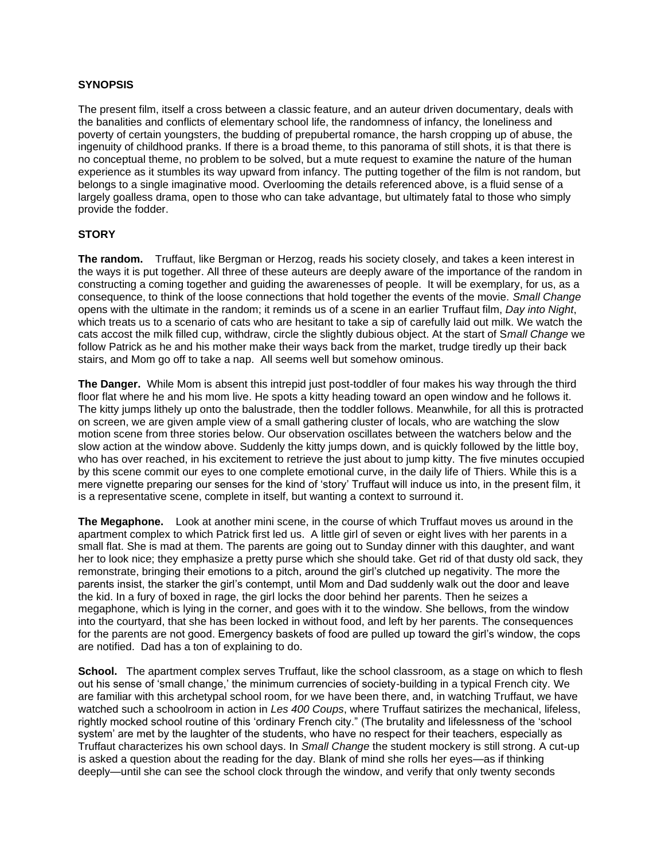### **SYNOPSIS**

The present film, itself a cross between a classic feature, and an auteur driven documentary, deals with the banalities and conflicts of elementary school life, the randomness of infancy, the loneliness and poverty of certain youngsters, the budding of prepubertal romance, the harsh cropping up of abuse, the ingenuity of childhood pranks. If there is a broad theme, to this panorama of still shots, it is that there is no conceptual theme, no problem to be solved, but a mute request to examine the nature of the human experience as it stumbles its way upward from infancy. The putting together of the film is not random, but belongs to a single imaginative mood. Overlooming the details referenced above, is a fluid sense of a largely goalless drama, open to those who can take advantage, but ultimately fatal to those who simply provide the fodder.

#### **STORY**

**The random.** Truffaut, like Bergman or Herzog, reads his society closely, and takes a keen interest in the ways it is put together. All three of these auteurs are deeply aware of the importance of the random in constructing a coming together and guiding the awarenesses of people. It will be exemplary, for us, as a consequence, to think of the loose connections that hold together the events of the movie. *Small Change* opens with the ultimate in the random; it reminds us of a scene in an earlier Truffaut film, *Day into Night*, which treats us to a scenario of cats who are hesitant to take a sip of carefully laid out milk. We watch the cats accost the milk filled cup, withdraw, circle the slightly dubious object. At the start of S*mall Change* we follow Patrick as he and his mother make their ways back from the market, trudge tiredly up their back stairs, and Mom go off to take a nap. All seems well but somehow ominous.

**The Danger.** While Mom is absent this intrepid just post-toddler of four makes his way through the third floor flat where he and his mom live. He spots a kitty heading toward an open window and he follows it. The kitty jumps lithely up onto the balustrade, then the toddler follows. Meanwhile, for all this is protracted on screen, we are given ample view of a small gathering cluster of locals, who are watching the slow motion scene from three stories below. Our observation oscillates between the watchers below and the slow action at the window above. Suddenly the kitty jumps down, and is quickly followed by the little boy, who has over reached, in his excitement to retrieve the just about to jump kitty. The five minutes occupied by this scene commit our eyes to one complete emotional curve, in the daily life of Thiers. While this is a mere vignette preparing our senses for the kind of 'story' Truffaut will induce us into, in the present film, it is a representative scene, complete in itself, but wanting a context to surround it.

**The Megaphone.** Look at another mini scene, in the course of which Truffaut moves us around in the apartment complex to which Patrick first led us. A little girl of seven or eight lives with her parents in a small flat. She is mad at them. The parents are going out to Sunday dinner with this daughter, and want her to look nice; they emphasize a pretty purse which she should take. Get rid of that dusty old sack, they remonstrate, bringing their emotions to a pitch, around the girl's clutched up negativity. The more the parents insist, the starker the girl's contempt, until Mom and Dad suddenly walk out the door and leave the kid. In a fury of boxed in rage, the girl locks the door behind her parents. Then he seizes a megaphone, which is lying in the corner, and goes with it to the window. She bellows, from the window into the courtyard, that she has been locked in without food, and left by her parents. The consequences for the parents are not good. Emergency baskets of food are pulled up toward the girl's window, the cops are notified. Dad has a ton of explaining to do.

**School.** The apartment complex serves Truffaut, like the school classroom, as a stage on which to flesh out his sense of 'small change,' the minimum currencies of society-building in a typical French city. We are familiar with this archetypal school room, for we have been there, and, in watching Truffaut, we have watched such a schoolroom in action in *Les 400 Coups*, where Truffaut satirizes the mechanical, lifeless, rightly mocked school routine of this 'ordinary French city." (The brutality and lifelessness of the 'school system' are met by the laughter of the students, who have no respect for their teachers, especially as Truffaut characterizes his own school days. In *Small Change* the student mockery is still strong. A cut-up is asked a question about the reading for the day. Blank of mind she rolls her eyes—as if thinking deeply—until she can see the school clock through the window, and verify that only twenty seconds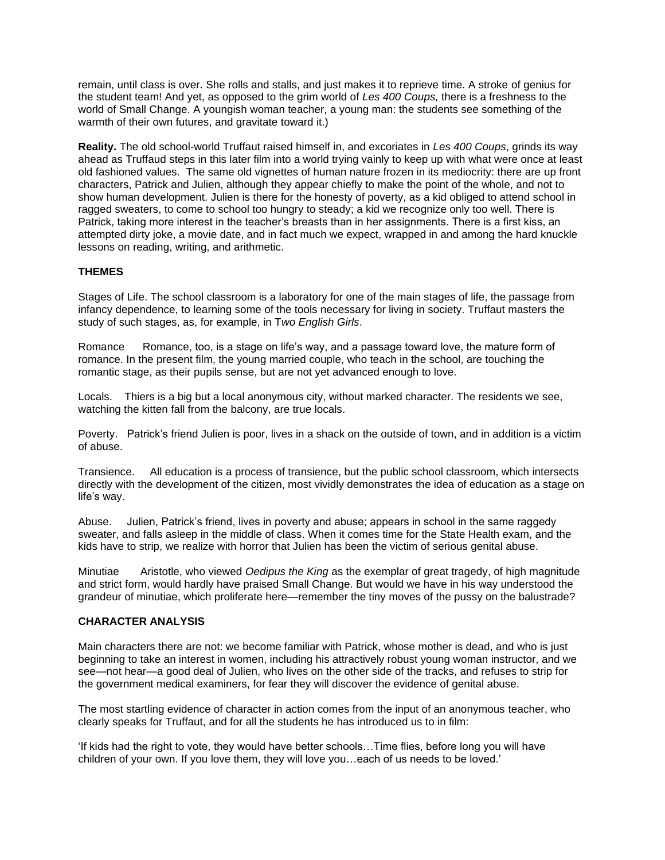remain, until class is over. She rolls and stalls, and just makes it to reprieve time. A stroke of genius for the student team! And yet, as opposed to the grim world of *Les 400 Coups,* there is a freshness to the world of Small Change. A youngish woman teacher, a young man: the students see something of the warmth of their own futures, and gravitate toward it.)

**Reality.** The old school-world Truffaut raised himself in, and excoriates in *Les 400 Coups*, grinds its way ahead as Truffaud steps in this later film into a world trying vainly to keep up with what were once at least old fashioned values. The same old vignettes of human nature frozen in its mediocrity: there are up front characters, Patrick and Julien, although they appear chiefly to make the point of the whole, and not to show human development. Julien is there for the honesty of poverty, as a kid obliged to attend school in ragged sweaters, to come to school too hungry to steady; a kid we recognize only too well. There is Patrick, taking more interest in the teacher's breasts than in her assignments. There is a first kiss, an attempted dirty joke, a movie date, and in fact much we expect, wrapped in and among the hard knuckle lessons on reading, writing, and arithmetic.

# **THEMES**

Stages of Life. The school classroom is a laboratory for one of the main stages of life, the passage from infancy dependence, to learning some of the tools necessary for living in society. Truffaut masters the study of such stages, as, for example, in T*wo English Girls*.

Romance Romance, too, is a stage on life's way, and a passage toward love, the mature form of romance. In the present film, the young married couple, who teach in the school, are touching the romantic stage, as their pupils sense, but are not yet advanced enough to love.

Locals. Thiers is a big but a local anonymous city, without marked character. The residents we see, watching the kitten fall from the balcony, are true locals.

Poverty. Patrick's friend Julien is poor, lives in a shack on the outside of town, and in addition is a victim of abuse.

Transience. All education is a process of transience, but the public school classroom, which intersects directly with the development of the citizen, most vividly demonstrates the idea of education as a stage on life's way.

Abuse. Julien, Patrick's friend, lives in poverty and abuse; appears in school in the same raggedy sweater, and falls asleep in the middle of class. When it comes time for the State Health exam, and the kids have to strip, we realize with horror that Julien has been the victim of serious genital abuse.

Minutiae Aristotle, who viewed *Oedipus the King* as the exemplar of great tragedy, of high magnitude and strict form, would hardly have praised Small Change. But would we have in his way understood the grandeur of minutiae, which proliferate here—remember the tiny moves of the pussy on the balustrade?

# **CHARACTER ANALYSIS**

Main characters there are not: we become familiar with Patrick, whose mother is dead, and who is just beginning to take an interest in women, including his attractively robust young woman instructor, and we see—not hear—a good deal of Julien, who lives on the other side of the tracks, and refuses to strip for the government medical examiners, for fear they will discover the evidence of genital abuse.

The most startling evidence of character in action comes from the input of an anonymous teacher, who clearly speaks for Truffaut, and for all the students he has introduced us to in film:

'If kids had the right to vote, they would have better schools…Time flies, before long you will have children of your own. If you love them, they will love you…each of us needs to be loved.'